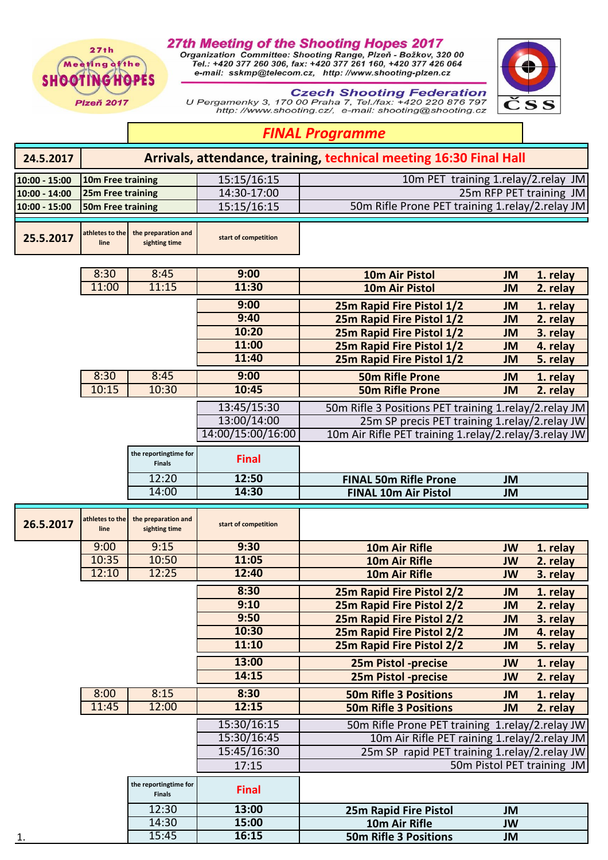$27th$ Meeting of the **SHOOTINGHOPES** 

**Plzeň 2017** 

**27th Meeting of the Shooting Hopes 2017**<br>Organization Committee: Shooting Range, Plzeň - Božkov, 320 00<br>Tel.: +420 377 260 306, fax: +420 377 261 160, +420 377 426 064<br>e-mail: sskmp@telecom.cz, http://www.shooting-plzen.c



**Czech Shooting Federation**<br>170 00 Praha 7, Tel./fax: +420 220 876 797<br>http: //www.shooting.cz/, e-mail: shooting@shooting.cz

## *FINAL Programme*

| 24.5.2017     | Arrivals, attendance, training, technical meeting 16:30 Final Hall |                                        |                      |                                                                                                 |                 |                            |  |  |  |
|---------------|--------------------------------------------------------------------|----------------------------------------|----------------------|-------------------------------------------------------------------------------------------------|-----------------|----------------------------|--|--|--|
| 10:00 - 15:00 | 10m Free training                                                  |                                        | 15:15/16:15          | 10m PET training 1.relay/2.relay JM                                                             |                 |                            |  |  |  |
| 10:00 - 14:00 | 25m Free training                                                  |                                        | 14:30-17:00          | 25m RFP PET training JM                                                                         |                 |                            |  |  |  |
| 10:00 - 15:00 | 50m Free training                                                  |                                        | 15:15/16:15          | 50m Rifle Prone PET training 1.relay/2.relay JM                                                 |                 |                            |  |  |  |
|               |                                                                    |                                        |                      |                                                                                                 |                 |                            |  |  |  |
| 25.5.2017     | athletes to the<br>line                                            | the preparation and<br>sighting time   | start of competition |                                                                                                 |                 |                            |  |  |  |
|               | 8:30                                                               | 8:45                                   | 9:00                 | <b>10m Air Pistol</b>                                                                           | <b>JM</b>       | 1. relay                   |  |  |  |
|               | 11:00                                                              | 11:15                                  | 11:30                | 10m Air Pistol                                                                                  | <b>JM</b>       | 2. relay                   |  |  |  |
|               |                                                                    |                                        | 9:00                 | 25m Rapid Fire Pistol 1/2                                                                       | <b>JM</b>       | 1. relay                   |  |  |  |
|               |                                                                    |                                        | 9:40                 | 25m Rapid Fire Pistol 1/2                                                                       | <b>JM</b>       | 2. relay                   |  |  |  |
|               |                                                                    |                                        | 10:20                | 25m Rapid Fire Pistol 1/2                                                                       | <b>JM</b>       | 3. relay                   |  |  |  |
|               |                                                                    |                                        | 11:00                | 25m Rapid Fire Pistol 1/2                                                                       | <b>JM</b>       | 4. relay                   |  |  |  |
|               |                                                                    |                                        | 11:40                | 25m Rapid Fire Pistol 1/2                                                                       | <b>JM</b>       | 5. relay                   |  |  |  |
|               | 8:30                                                               | 8:45                                   | 9:00                 | <b>50m Rifle Prone</b>                                                                          | <b>JM</b>       | 1. relay                   |  |  |  |
|               | 10:15                                                              | 10:30                                  | 10:45                | <b>50m Rifle Prone</b>                                                                          | <b>JM</b>       | 2. relay                   |  |  |  |
|               |                                                                    |                                        | 13:45/15:30          | 50m Rifle 3 Positions PET training 1.relay/2.relay JM                                           |                 |                            |  |  |  |
|               |                                                                    |                                        | 13:00/14:00          | 25m SP precis PET training 1.relay/2.relay JW                                                   |                 |                            |  |  |  |
|               |                                                                    |                                        | 14:00/15:00/16:00    | 10m Air Rifle PET training 1.relay/2.relay/3.relay JW                                           |                 |                            |  |  |  |
|               |                                                                    | the reportingtime for<br><b>Finals</b> | <b>Final</b>         |                                                                                                 |                 |                            |  |  |  |
|               |                                                                    | 12:20                                  | 12:50                | <b>FINAL 50m Rifle Prone</b>                                                                    | JM              |                            |  |  |  |
|               |                                                                    | 14:00                                  | 14:30                | <b>FINAL 10m Air Pistol</b>                                                                     | <b>JM</b>       |                            |  |  |  |
|               |                                                                    |                                        |                      |                                                                                                 |                 |                            |  |  |  |
| 26.5.2017     | athletes to the<br>line                                            | the preparation and<br>sighting time   | start of competition |                                                                                                 |                 |                            |  |  |  |
|               | 9:00                                                               | 9:15                                   | 9:30                 | 10m Air Rifle                                                                                   | <b>JW</b>       |                            |  |  |  |
|               | 10:35                                                              | 10:50                                  | 11:05                | <b>10m Air Rifle</b>                                                                            | <b>JW</b>       | 1. relay<br>2. relay       |  |  |  |
|               | 12:10                                                              | 12:25                                  | 12:40                | <b>10m Air Rifle</b>                                                                            | <b>JW</b>       | 3. relay                   |  |  |  |
|               |                                                                    |                                        | 8:30                 |                                                                                                 |                 |                            |  |  |  |
|               |                                                                    |                                        | 9:10                 | 25m Rapid Fire Pistol 2/2                                                                       | <b>JM</b>       | 1. relay                   |  |  |  |
|               |                                                                    |                                        | 9:50                 | 25m Rapid Fire Pistol 2/2                                                                       | JM<br><b>JM</b> | 2. relay<br>3. relay       |  |  |  |
|               |                                                                    |                                        | 10:30                | 25m Rapid Fire Pistol 2/2<br>25m Rapid Fire Pistol 2/2                                          | <b>JM</b>       | 4. relay                   |  |  |  |
|               |                                                                    |                                        | 11:10                | 25m Rapid Fire Pistol 2/2                                                                       | <b>JM</b>       | 5. relay                   |  |  |  |
|               |                                                                    |                                        | 13:00                | 25m Pistol -precise                                                                             | JW              | 1. relay                   |  |  |  |
|               |                                                                    |                                        | 14:15                | 25m Pistol -precise                                                                             | <b>JW</b>       | 2. relay                   |  |  |  |
|               | 8:00                                                               | 8:15                                   | 8:30                 | <b>50m Rifle 3 Positions</b>                                                                    | <b>JM</b>       | 1. relay                   |  |  |  |
|               | 11:45                                                              | 12:00                                  | 12:15                | <b>50m Rifle 3 Positions</b>                                                                    | <b>JM</b>       | 2. relay                   |  |  |  |
|               |                                                                    |                                        | 15:30/16:15          |                                                                                                 |                 |                            |  |  |  |
|               |                                                                    |                                        | 15:30/16:45          | 50m Rifle Prone PET training 1.relay/2.relay JW<br>10m Air Rifle PET raining 1.relay/2.relay JM |                 |                            |  |  |  |
|               |                                                                    |                                        | 15:45/16:30          | 25m SP rapid PET training 1.relay/2.relay JW                                                    |                 |                            |  |  |  |
|               |                                                                    |                                        | 17:15                |                                                                                                 |                 |                            |  |  |  |
|               |                                                                    | the reportingtime for<br><b>Finals</b> | <b>Final</b>         |                                                                                                 |                 | 50m Pistol PET training JM |  |  |  |
|               |                                                                    | 12:30                                  | 13:00                | 25m Rapid Fire Pistol                                                                           | <b>JM</b>       |                            |  |  |  |
|               |                                                                    | 14:30                                  | 15:00                | 10m Air Rifle                                                                                   | JW              |                            |  |  |  |